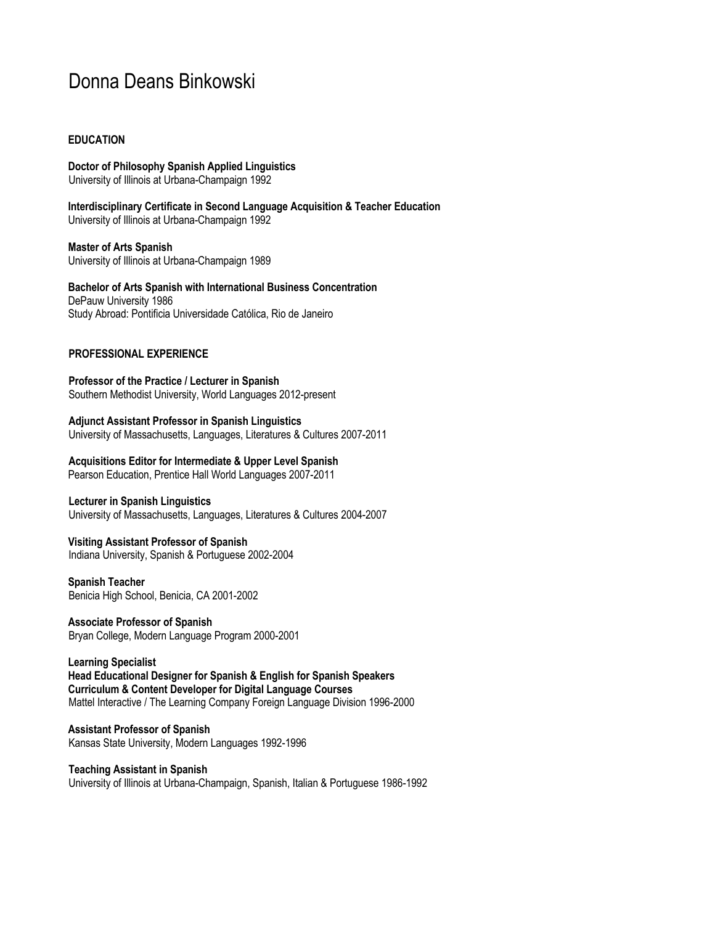# Donna Deans Binkowski

# **EDUCATION**

**Doctor of Philosophy Spanish Applied Linguistics** University of Illinois at Urbana-Champaign 1992

**Interdisciplinary Certificate in Second Language Acquisition & Teacher Education** University of Illinois at Urbana-Champaign 1992

**Master of Arts Spanish** University of Illinois at Urbana-Champaign 1989

**Bachelor of Arts Spanish with International Business Concentration** DePauw University 1986 Study Abroad: Pontificia Universidade Católica, Rio de Janeiro

# **PROFESSIONAL EXPERIENCE**

**Professor of the Practice / Lecturer in Spanish** Southern Methodist University, World Languages 2012-present

# **Adjunct Assistant Professor in Spanish Linguistics**

University of Massachusetts, Languages, Literatures & Cultures 2007-2011

**Acquisitions Editor for Intermediate & Upper Level Spanish** Pearson Education, Prentice Hall World Languages 2007-2011

# **Lecturer in Spanish Linguistics**

University of Massachusetts, Languages, Literatures & Cultures 2004-2007

**Visiting Assistant Professor of Spanish** Indiana University, Spanish & Portuguese 2002-2004

**Spanish Teacher** Benicia High School, Benicia, CA 2001-2002

**Associate Professor of Spanish** Bryan College, Modern Language Program 2000-2001

**Learning Specialist Head Educational Designer for Spanish & English for Spanish Speakers Curriculum & Content Developer for Digital Language Courses** Mattel Interactive / The Learning Company Foreign Language Division 1996-2000

**Assistant Professor of Spanish** Kansas State University, Modern Languages 1992-1996

**Teaching Assistant in Spanish** University of Illinois at Urbana-Champaign, Spanish, Italian & Portuguese 1986-1992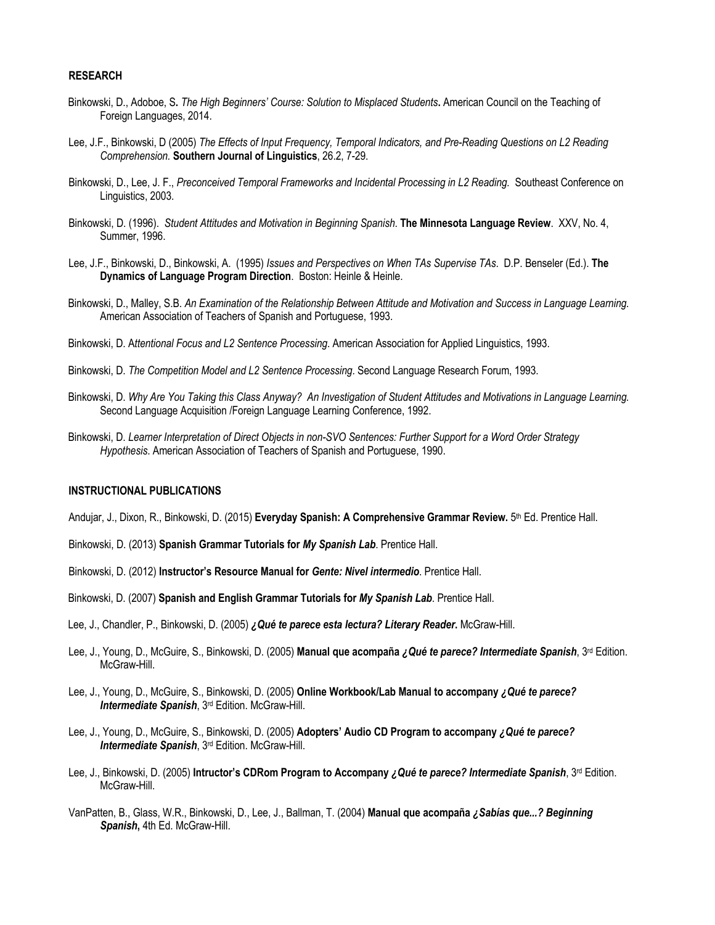#### **RESEARCH**

- Binkowski, D., Adoboe, S**.** *The High Beginners' Course: Solution to Misplaced Students***.** American Council on the Teaching of Foreign Languages, 2014.
- Lee, J.F., Binkowski, D (2005) *The Effects of Input Frequency, Temporal Indicators, and Pre-Reading Questions on L2 Reading Comprehension.* **Southern Journal of Linguistics**, 26.2, 7-29.
- Binkowski, D., Lee, J. F., *Preconceived Temporal Frameworks and Incidental Processing in L2 Reading.* Southeast Conference on Linguistics, 2003.
- Binkowski, D. (1996). *Student Attitudes and Motivation in Beginning Spanish*. **The Minnesota Language Review**. XXV, No. 4, Summer, 1996.
- Lee, J.F., Binkowski, D., Binkowski, A. (1995) *Issues and Perspectives on When TAs Supervise TAs*. D.P. Benseler (Ed.). **The Dynamics of Language Program Direction**. Boston: Heinle & Heinle.
- Binkowski, D., Malley, S.B. *An Examination of the Relationship Between Attitude and Motivation and Success in Language Learning.* American Association of Teachers of Spanish and Portuguese, 1993.
- Binkowski, D. A*ttentional Focus and L2 Sentence Processing*. American Association for Applied Linguistics, 1993.
- Binkowski, D. *The Competition Model and L2 Sentence Processing*. Second Language Research Forum, 1993.
- Binkowski, D. *Why Are You Taking this Class Anyway? An Investigation of Student Attitudes and Motivations in Language Learning.* Second Language Acquisition /Foreign Language Learning Conference, 1992.
- Binkowski, D. *Learner Interpretation of Direct Objects in non-SVO Sentences: Further Support for a Word Order Strategy Hypothesis*. American Association of Teachers of Spanish and Portuguese, 1990.

#### **INSTRUCTIONAL PUBLICATIONS**

- Andujar, J., Dixon, R., Binkowski, D. (2015) **Everyday Spanish: A Comprehensive Grammar Review.** 5th Ed. Prentice Hall.
- Binkowski, D. (2013) **Spanish Grammar Tutorials for** *My Spanish Lab*. Prentice Hall.
- Binkowski, D. (2012) **Instructor's Resource Manual for** *Gente: Nivel intermedio*. Prentice Hall.
- Binkowski, D. (2007) **Spanish and English Grammar Tutorials for** *My Spanish Lab*. Prentice Hall.
- Lee, J., Chandler, P., Binkowski, D. (2005) *¿Qué te parece esta lectura? Literary Reader***.** McGraw-Hill.
- Lee, J., Young, D., McGuire, S., Binkowski, D. (2005) **Manual que acompaña** *¿Qué te parece? Intermediate Spanish*, 3rd Edition. McGraw-Hill.
- Lee, J., Young, D., McGuire, S., Binkowski, D. (2005) **Online Workbook/Lab Manual to accompany** *¿Qué te parece? Intermediate Spanish*, 3rd Edition. McGraw-Hill.
- Lee, J., Young, D., McGuire, S., Binkowski, D. (2005) **Adopters' Audio CD Program to accompany** *¿Qué te parece? Intermediate Spanish*, 3rd Edition. McGraw-Hill.
- Lee, J., Binkowski, D. (2005) **Intructor's CDRom Program to Accompany** *¿Qué te parece? Intermediate Spanish*, 3rd Edition. McGraw-Hill.
- VanPatten, B., Glass, W.R., Binkowski, D., Lee, J., Ballman, T. (2004) **Manual que acompaña** *¿Sabías que...? Beginning Spanish***,** 4th Ed. McGraw-Hill.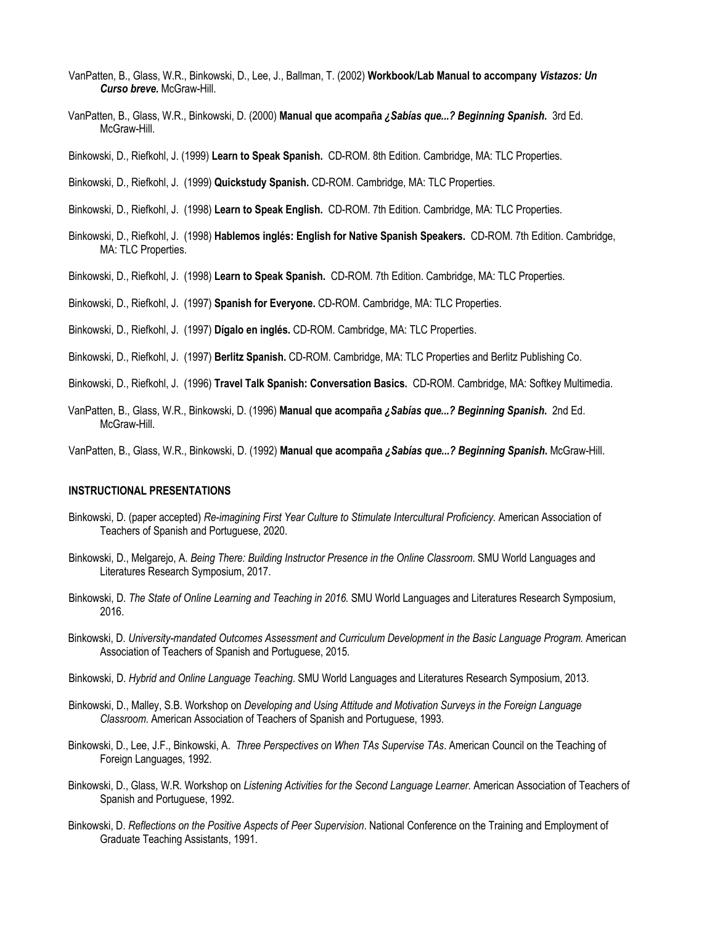- VanPatten, B., Glass, W.R., Binkowski, D., Lee, J., Ballman, T. (2002) **Workbook/Lab Manual to accompany** *Vistazos: Un Curso breve.* McGraw-Hill.
- VanPatten, B., Glass, W.R., Binkowski, D. (2000) **Manual que acompaña** *¿Sabías que...? Beginning Spanish***.** 3rd Ed. McGraw-Hill.
- Binkowski, D., Riefkohl, J. (1999) **Learn to Speak Spanish.** CD-ROM. 8th Edition. Cambridge, MA: TLC Properties.
- Binkowski, D., Riefkohl, J. (1999) **Quickstudy Spanish.** CD-ROM. Cambridge, MA: TLC Properties.
- Binkowski, D., Riefkohl, J. (1998) **Learn to Speak English.** CD-ROM. 7th Edition. Cambridge, MA: TLC Properties.
- Binkowski, D., Riefkohl, J. (1998) **Hablemos inglés: English for Native Spanish Speakers.** CD-ROM. 7th Edition. Cambridge, MA: TLC Properties.
- Binkowski, D., Riefkohl, J. (1998) **Learn to Speak Spanish.** CD-ROM. 7th Edition. Cambridge, MA: TLC Properties.

Binkowski, D., Riefkohl, J. (1997) **Spanish for Everyone.** CD-ROM. Cambridge, MA: TLC Properties.

- Binkowski, D., Riefkohl, J. (1997) **Dígalo en inglés.** CD-ROM. Cambridge, MA: TLC Properties.
- Binkowski, D., Riefkohl, J. (1997) **Berlitz Spanish.** CD-ROM. Cambridge, MA: TLC Properties and Berlitz Publishing Co.
- Binkowski, D., Riefkohl, J. (1996) **Travel Talk Spanish: Conversation Basics.** CD-ROM. Cambridge, MA: Softkey Multimedia.
- VanPatten, B., Glass, W.R., Binkowski, D. (1996) **Manual que acompaña** *¿Sabías que...? Beginning Spanish***.** 2nd Ed. McGraw-Hill.
- VanPatten, B., Glass, W.R., Binkowski, D. (1992) **Manual que acompaña** *¿Sabías que...? Beginning Spanish***.** McGraw-Hill.

#### **INSTRUCTIONAL PRESENTATIONS**

- Binkowski, D. (paper accepted) *Re-imagining First Year Culture to Stimulate Intercultural Proficiency.* American Association of Teachers of Spanish and Portuguese, 2020.
- Binkowski, D., Melgarejo, A. *Being There: Building Instructor Presence in the Online Classroom*. SMU World Languages and Literatures Research Symposium, 2017.
- Binkowski, D. *The State of Online Learning and Teaching in 2016.* SMU World Languages and Literatures Research Symposium, 2016.
- Binkowski, D. *University-mandated Outcomes Assessment and Curriculum Development in the Basic Language Program.* American Association of Teachers of Spanish and Portuguese, 2015.
- Binkowski, D. *Hybrid and Online Language Teaching*. SMU World Languages and Literatures Research Symposium, 2013.
- Binkowski, D., Malley, S.B. Workshop on *Developing and Using Attitude and Motivation Surveys in the Foreign Language Classroom*. American Association of Teachers of Spanish and Portuguese, 1993.
- Binkowski, D., Lee, J.F., Binkowski, A. *Three Perspectives on When TAs Supervise TAs*. American Council on the Teaching of Foreign Languages, 1992.
- Binkowski, D., Glass, W.R. Workshop on *Listening Activities for the Second Language Learner.* American Association of Teachers of Spanish and Portuguese, 1992.
- Binkowski, D. *Reflections on the Positive Aspects of Peer Supervision*. National Conference on the Training and Employment of Graduate Teaching Assistants, 1991.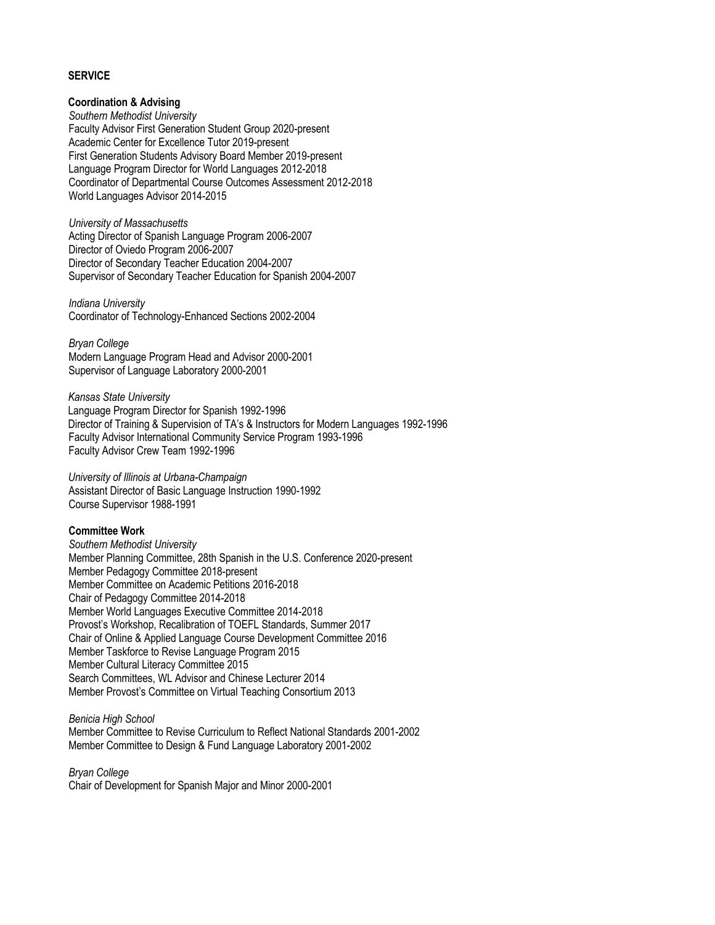## **SERVICE**

# **Coordination & Advising**

*Southern Methodist University* Faculty Advisor First Generation Student Group 2020-present Academic Center for Excellence Tutor 2019-present First Generation Students Advisory Board Member 2019-present Language Program Director for World Languages 2012-2018 Coordinator of Departmental Course Outcomes Assessment 2012-2018 World Languages Advisor 2014-2015

*University of Massachusetts* Acting Director of Spanish Language Program 2006-2007 Director of Oviedo Program 2006-2007 Director of Secondary Teacher Education 2004-2007 Supervisor of Secondary Teacher Education for Spanish 2004-2007

*Indiana University* Coordinator of Technology-Enhanced Sections 2002-2004

*Bryan College* Modern Language Program Head and Advisor 2000-2001 Supervisor of Language Laboratory 2000-2001

*Kansas State University* Language Program Director for Spanish 1992-1996 Director of Training & Supervision of TA's & Instructors for Modern Languages 1992-1996 Faculty Advisor International Community Service Program 1993-1996 Faculty Advisor Crew Team 1992-1996

*University of Illinois at Urbana-Champaign* Assistant Director of Basic Language Instruction 1990-1992 Course Supervisor 1988-1991

# **Committee Work**

*Southern Methodist University* Member Planning Committee, 28th Spanish in the U.S. Conference 2020-present Member Pedagogy Committee 2018-present Member Committee on Academic Petitions 2016-2018 Chair of Pedagogy Committee 2014-2018 Member World Languages Executive Committee 2014-2018 Provost's Workshop, Recalibration of TOEFL Standards, Summer 2017 Chair of Online & Applied Language Course Development Committee 2016 Member Taskforce to Revise Language Program 2015 Member Cultural Literacy Committee 2015 Search Committees, WL Advisor and Chinese Lecturer 2014 Member Provost's Committee on Virtual Teaching Consortium 2013

*Benicia High School* Member Committee to Revise Curriculum to Reflect National Standards 2001-2002 Member Committee to Design & Fund Language Laboratory 2001-2002

*Bryan College* Chair of Development for Spanish Major and Minor 2000-2001